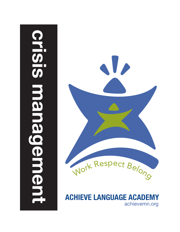# **crisis management**HESIS **Nana** demer



**ACHIEVE LANGUAGE ACADEMY** achievemn.org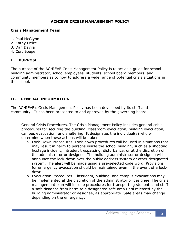# **ACHIEVE CRISIS MANAGEMENT POLICY**

### **Crisis Management Team**

- 1. Paul McGlynn
- 2. Kathy Oelze
- 3. Dan Davila
- 4. Curt Boege

# **I. PURPOSE**

The purpose of the ACHIEVE Crisis Management Policy is to act as a guide for school building administrator, school employees, students, school board members, and community members as to how to address a wide range of potential crisis situations in the school.

# **II. GENERAL INFORMATION**

The ACHIEVE's Crisis Management Policy has been developed by its staff and community. It has been presented to and approved by the governing board.

- 1. General Crisis Procedures. The Crisis Management Policy includes general crisis procedures for securing the building, classroom evacuation, building evacuation, campus evacuation, and sheltering. It designates the individual(s) who will determine when these actions will be taken.
	- a. Lock-Down Procedures. Lock-down procedures will be used in situations that may result in harm to persons inside the school building, such as a shooting, hostage incident, intruder, trespassing, disturbance, or at the discretion of the administrator or designee. The building administrator or designee will announce the lock-down over the public address system or other designated system. The alert will be made using a pre-selected code word. Provisions for emergency evacuation should be maintained even in the event of a lockdown.
	- b. Evacuation Procedures. Classroom, building, and campus evacuations may be implemented at the discretion of the administrator or designee. The crisis management plan will include procedures for transporting students and staff a safe distance from harm to a designated safe area until released by the building administrator or designee, as appropriate. Safe areas may change depending on the emergency.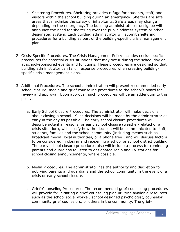- c. Sheltering Procedures. Sheltering provides refuge for students, staff, and visitors within the school building during an emergency. Shelters are safe areas that maximize the safety of inhabitants. Safe areas may change depending on the emergency. The building administrator or designee will announce the need for sheltering over the public address system or other designated system. Each building administrator will submit sheltering procedures for a building as part of the building-specific crisis management plan.
- 2. Crisis-Specific Procedures. The Crisis Management Policy includes crisis-specific procedures for potential crisis situations that may occur during the school day or at school-sponsored events and functions. These procedures are designed so that building administrator can tailor response procedures when creating buildingspecific crisis management plans.
- 3. Additional Procedures. The school administration will present recommended early school closure, media and grief counseling procedures to the school's board for review and approval. Upon approval, such procedures will be an addendum to this policy.
	- a. Early School Closure Procedures. The administrator will make decisions about closing a school. Such decisions will be made by the administrator as early in the day as possible. The early school closure procedures will describe potential reasons for early school closure (weather-related or a crisis situation), will specify how the decision will be communicated to staff, students, families and the school community (including means such as broadcast media, local authorities, or a phone tree), and will discuss factors to be considered in closing and reopening a school or school district building. The early school closure procedures also will include a process for reminding parents and guardians to listen to designated radio and TV stations for school closing announcements, where possible.
	- b. Media Procedures. The administrator has the authority and discretion for notifying parents and guardians and the school community in the event of a crisis or early school closure.
	- c. Grief-Counseling Procedures. The recommended grief counseling procedures will provide for initiating a grief-counseling plan utilizing available resources such as the school social worker, school designed psychologist, counselor, community grief counselors, or others in the community. The grief-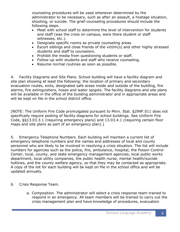counseling procedures will be used whenever determined by the administrator to be necessary, such as after an assault, a hostage situation, shooting, or suicide. The grief-counseling procedures should include the following steps.

- Meet with school staff to determine the level of intervention for students and staff (was the crisis on campus, were there student or staff witnesses, etc.).
- Designate specific rooms as private counseling areas.
- Escort siblings and close friends of the victim(s) and other highly stressed students and staff to counselors.
- Prohibit the media from questioning students or staff.
- Follow-up with students and staff who receive counseling.
- Resume normal routines as soon as possible.

4. Facility Diagrams and Site Plans. School building will have a facility diagram and site plan showing at least the following: the location of primary and secondary evacuation routes, exits, designated safe areas inside and outside of the building, fire alarms, fire extinguishers, hoses and water spigots. The facility diagrams and site plans will be available in the office of the building administrator and in appropriate areas and will be kept on file in the school district office.

[NOTE: The Uniform Fire Code promulgated pursuant to Minn. Stat. §299F.011 does not specifically require posting of facility diagrams for school buildings. See Uniform Fire Code, §§13.03.3.1 (requiring emergency plans) and 13.03.4.1 (requiring certain floor maps and site plans as part of an emergency plan).]

5. Emergency Telephone Numbers. Each building will maintain a current list of emergency telephone numbers and the names and addresses of local and county personnel who are likely to be involved in resolving a crisis situation. The list will include numbers for agencies such as the police, fire, ambulance, hospital, the Poison Control Center, local, county, and state emergency management agencies, local public works department, local utility companies, the public health nurse, mental health/suicide hotlines, and the county welfare agency, so that they may be contacted as appropriate. A copy of the list for each building will be kept on file in the school office and will be updated annually.

- 6. Crisis Response Team.
	- a. Composition. The administrator will select a crisis response team trained to respond in an emergency. All team members will be trained to carry out the crisis management plan and have knowledge of procedures, evacuation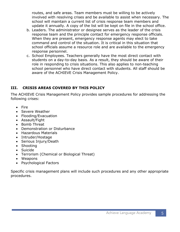routes, and safe areas. Team members must be willing to be actively involved with resolving crises and be available to assist when necessary. The school will maintain a current list of crisis response team members and update it annually. A copy of the list will be kept on file in the school office.

- b. Leaders. The administrator or designee serves as the leader of the crisis response team and the principle contact for emergency response officials. When they are present, emergency response agents may elect to take command and control of the situation. It is critical in this situation that school officials assume a resource role and are available to the emergency response personnel.
- c. School Employees. Teachers generally have the most direct contact with students on a day-to-day basis. As a result, they should be aware of their role in responding to crisis situations. This also applies to non-teaching school personnel who have direct contact with students. All staff should be aware of the ACHIEVE Crisis Management Policy.

# **III. CRISIS AREAS COVERED BY THIS POLICY**

The ACHIEVE Crisis Management Policy provides sample procedures for addressing the following crises:

- Fire
- Severe Weather
- Flooding/Evacuation
- Assault/Fight
- Bomb Threat
- Demonstration or Disturbance
- Hazardous Materials
- Intruder/Hostage
- Serious Injury/Death
- Shooting
- Suicide
- Terrorism (Chemical or Biological Threat)
- Weapons
- Psychological Factors

Specific crisis management plans will include such procedures and any other appropriate procedures.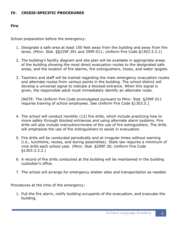# **IV. CRISIS-SPECIFIC PROCEDURES**

### **Fire**

School preparation before the emergency:

- 1. Designate a safe area at least 100 feet away from the building and away from fire lanes. (Minn. Stat. §§229F.391 and 299F.011; Uniform Fire Code §1303.3.3.1)
- 2. The building's facility diagram and site plan will be available in appropriate areas of the building showing the most direct evacuation routes to the designated safe areas, and the location of fire alarms, fire extinguishers, hoses, and water spigots.
- 3. Teachers and staff will be trained regarding the main emergency evacuation routes and alternate routes from various points in the building. The school district will develop a universal signal to indicate a blocked entrance. When this signal is given, the responsible adult must immediately identify an alternate route.

[NOTE: The Uniform Fire Code promulgated pursuant to Minn. Stat. §299F.011 requires training of school employees. See Uniform Fire Code §1303.5.]

- 4. The school will conduct monthly (12) fire drills, which include practicing how to move safely through blocked entrances and using alternate alarm systems. Fire drills will also include instruction/review of the use of fire extinguishers. The drills will emphasize the use of fire extinguishers to assist in evacuation.
- 5. Fire drills will be conducted periodically and at irregular times without warning (i.e., lunchtime, recess, and during assemblies). State law requires a minimum of nine drills each school year. (Minn. Stat. §299F.30; Uniform Fire Code §1303.3.3.2.)
- 6. A record of fire drills conducted at the building will be maintained in the building custodian's office.
- 7. The school will arrange for emergency shelter sites and transportation as needed.

Procedures at the time of the emergency:

1. Pull the fire alarm, notify building occupants of the evacuation, and evacuate the building.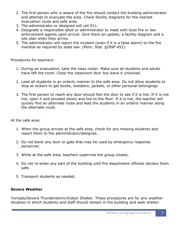- 2. The first person who is aware of the fire should contact the building administrator and attempt to evacuate the area. Check facility diagrams for the nearest evacuation route and safe area.
- 3. The administrator or designee will call 911.
- 4. Designate a responsible adult or administrator to meet with local fire or law enforcement agents upon arrival. Give them an update, a facility diagram and a site plan when they arrive.
- 5. The administrator will report the incident (even if it is a false alarm) to the fire marshal as required by state law. (Minn. Stat. §299F.452).

Procedures for teachers:

- 1. During an evacuation, take the class roster. Make sure all students and adults have left the room. Close the classroom door but leave it unlocked.
- 2. Lead all students in an orderly manner to the safe area. Do not allow students to stop at lockers to get books, sweaters, jackets, or other personal belongings.
- 3. The first person to reach any door should feel the door to see if it is hot. If it is not hot, open it and proceed slowly and low to the floor. If it is hot, the teacher will quickly find an alternate route and lead the students in an orderly manner along the alternate route.

At the safe area:

- 1. When the group arrives at the safe area, check for any missing students and report them to the administrator/designee.
- 2. Do not block any door or gate that may be used by emergency response personnel.
- 3. While at the safe area, teachers supervise the group closely.
- 4. Do not re-enter any part of the building until fire department officials declare them safe.
- 5. Transport students as needed.

# **Severe Weather**

Tornado/Severe Thunderstorm/Indoor Shelter. These procedures are for any weather situation in which students and staff should remain in the building and seek shelter.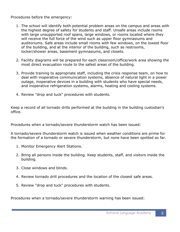Procedures before the emergency:

- 1. The school will identify both potential problem areas on the campus and areas with the highest degree of safety for students and staff. Unsafe areas include rooms with large unsupported roof spans, large windows, or rooms located where they will receive the full force of the wind such as upper floor gymnasiums and auditoriums. Safe areas include small rooms with few windows, on the lowest floor of the building, and at the interior of the building, such as restrooms, locker/shower areas, basement gymnasiums, and closets.
- 2. Facility diagrams will be prepared for each classroom/office/work area showing the most direct evacuation route to the safest areas of the building.
- 3. Provide training to appropriate staff, including the crisis response team, on how to deal with inoperative communication systems, absence of natural light in a power outage, inoperative devices in a building with students who have special needs, and inoperative refrigeration systems, alarms, heating and cooling systems.
- 4. Review "drop and tuck" procedures with students.

Keep a record of all tornado drills performed at the building in the building custodian's office.

Procedures when a tornado/severe thunderstorm watch has been issued:

A tornado/severe thunderstorm watch is issued when weather conditions are prime for the formation of a tornado or severe thunderstorm, but none have been spotted so far.

- 1. Monitor Emergency Alert Stations.
- 2. Bring all persons inside the building. Keep students, staff, and visitors inside the building.
- 3. Close windows and blinds.
- 4. Review tornado drill procedures and the location of the closest safe areas.
- 5. Review "drop and tuck" procedures with students.

Procedures when a tornado/severe thunderstorm warning has been issued: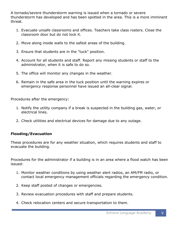A tornado/severe thunderstorm warning is issued when a tornado or severe thunderstorm has developed and has been spotted in the area. This is a more imminent threat.

- 1. Evacuate unsafe classrooms and offices. Teachers take class rosters. Close the classroom door but do not lock it.
- 2. Move along inside walls to the safest areas of the building.
- 3. Ensure that students are in the "tuck" position.
- 4. Account for all students and staff. Report any missing students or staff to the administrator, when it is safe to do so.
- 5. The office will monitor any changes in the weather.
- 6. Remain in the safe area in the tuck position until the warning expires or emergency response personnel have issued an all-clear signal.

Procedures after the emergency:

- 1. Notify the utility company if a break is suspected in the building gas, water, or electrical lines.
- 2. Check utilities and electrical devices for damage due to any outage.

# **Flooding/Evacuation**

These procedures are for any weather situation, which requires students and staff to evacuate the building.

Procedures for the administrator if a building is in an area where a flood watch has been issued:

- 1. Monitor weather conditions by using weather alert radios, an AM/FM radio, or contact local emergency management officials regarding the emergency condition.
- 2. Keep staff posted of changes or emergencies.
- 3. Review evacuation procedures with staff and prepare students.
- 4. Check relocation centers and secure transportation to them.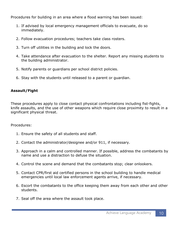Procedures for building in an area where a flood warning has been issued:

- 1. If advised by local emergency management officials to evacuate, do so immediately.
- 2. Follow evacuation procedures; teachers take class rosters.
- 3. Turn off utilities in the building and lock the doors.
- 4. Take attendance after evacuation to the shelter. Report any missing students to the building administrator.
- 5. Notify parents or guardians per school district policies.
- 6. Stay with the students until released to a parent or guardian.

# **Assault/Fight**

These procedures apply to close contact physical confrontations including fist-fights, knife assaults, and the use of other weapons which require close proximity to result in a significant physical threat.

Procedures:

- 1. Ensure the safety of all students and staff.
- 2. Contact the administrator/designee and/or 911, if necessary.
- 3. Approach in a calm and controlled manner. If possible, address the combatants by name and use a distraction to defuse the situation.
- 4. Control the scene and demand that the combatants stop; clear onlookers.
- 5. Contact CPR/first aid certified persons in the school building to handle medical emergencies until local law enforcement agents arrive, if necessary.
- 6. Escort the combatants to the office keeping them away from each other and other students.
- 7. Seal off the area where the assault took place.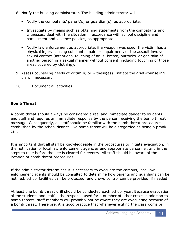- 8. Notify the building administrator. The building administrator will:
	- Notify the combatants' parent(s) or guardian(s), as appropriate.
	- Investigate by means such as obtaining statements from the combatants and witnesses; deal with the situation in accordance with school discipline and harassment and violence policies, as appropriate.
	- Notify law enforcement as appropriate, if a weapon was used, the victim has a physical injury causing substantial pain or impairment, or the assault involved sexual contact (intentional touching of anus, breast, buttocks, or genitalia of another person in a sexual manner without consent, including touching of those areas covered by clothing).
- 9. Assess counseling needs of victim(s) or witness(es). Initiate the grief-counseling plan, if necessary.
- 10. Document all activities.

# **Bomb Threat**

A bomb threat should always be considered a real and immediate danger to students and staff and requires an immediate response by the person receiving the bomb threat message. Consequently, all staff should be familiar with the bomb threat procedures established by the school district. No bomb threat will be disregarded as being a prank call.

It is important that all staff be knowledgeable in the procedures to initiate evacuation, in the notification of local law enforcement agencies and appropriate personnel, and in the steps to take before the site is cleared for reentry. All staff should be aware of the location of bomb threat procedures.

If the administrator determines it is necessary to evacuate the campus, local law enforcement agents should be consulted to determine how parents and guardians can be notified, school facilities can be protected, and crowd control can be provided, if needed.

At least one bomb threat drill should be conducted each school year. Because evacuation of the students and staff is the response used for a number of other crises in addition to bomb threats, staff members will probably not be aware they are evacuating because of a bomb threat. Therefore, it is good practice that whenever exiting the classrooms or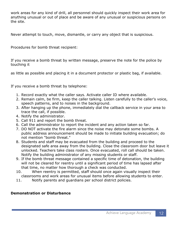work areas for any kind of drill, all personnel should quickly inspect their work area for anything unusual or out of place and be aware of any unusual or suspicious persons on the site.

Never attempt to touch, move, dismantle, or carry any object that is suspicious.

Procedures for bomb threat recipient:

If you receive a bomb threat by written message, preserve the note for the police by touching it

as little as possible and placing it in a document protector or plastic bag, if available.

If you receive a bomb threat by telephone:

- 1. Record exactly what the caller says. Activate caller ID where available.
- 2. Remain calm, be firm, keep the caller talking. Listen carefully to the caller's voice, speech patterns, and to noises in the background.
- 3. After hanging up the phone, immediately dial the callback service in your area to trace the call, if possible.
- 4. Notify the administrator.
- 5. Call 911 and report the bomb threat.
- 6. Call the administrator to report the incident and any action taken so far.
- 7. DO NOT activate the fire alarm since the noise may detonate some bombs. A public address announcement should be made to initiate building evacuation; do not mention "bomb threat."
- 8. Students and staff may be evacuated from the building and proceed to the designated safe area away from the building. Close the classroom door but leave it unlocked. Teachers take class rosters. Once evacuated, roll call should be taken. Notify the building administrator of any missing students or staff.
- 9. If the bomb threat message contained a specific time of detonation, the building will not be cleared for reentry until a significant period of time has lapsed after that time, no matter how thorough a check was conducted.
- 10. When reentry is permitted, staff should once again visually inspect their classrooms and work areas for unusual items before allowing students to enter.
- 11. Notify parents and guardians per school district policies.

# **Demonstration or Disturbance**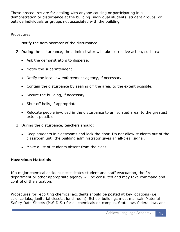These procedures are for dealing with anyone causing or participating in a demonstration or disturbance at the building: individual students, student groups, or outside individuals or groups not associated with the building.

Procedures:

- 1. Notify the administrator of the disturbance.
- 2. During the disturbance, the administrator will take corrective action, such as:
	- Ask the demonstrators to disperse.
	- Notify the superintendent.
	- Notify the local law enforcement agency, if necessary.
	- Contain the disturbance by sealing off the area, to the extent possible.
	- Secure the building, if necessary.
	- Shut off bells, if appropriate.
	- Relocate people involved in the disturbance to an isolated area, to the greatest extent possible.
- 3. During the disturbance, teachers should:
	- Keep students in classrooms and lock the door. Do not allow students out of the classroom until the building administrator gives an all-clear signal.
	- Make a list of students absent from the class.

# **Hazardous Materials**

If a major chemical accident necessitates student and staff evacuation, the fire department or other appropriate agency will be consulted and may take command and control of the situation.

Procedures for reporting chemical accidents should be posted at key locations (i.e., science labs, janitorial closets, lunchroom). School buildings must maintain Material Safety Data Sheets (M.S.D.S.) for all chemicals on campus. State law, federal law, and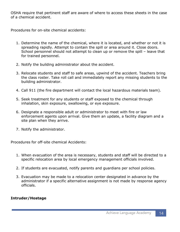OSHA require that pertinent staff are aware of where to access these sheets in the case of a chemical accident.

Procedures for on-site chemical accidents:

- 1. Determine the name of the chemical, where it is located, and whether or not it is spreading rapidly. Attempt to contain the spill or area around it. Close doors. School personnel should not attempt to clean up or remove the spill – leave that for trained personnel.
- 2. Notify the building administrator about the accident.
- 3. Relocate students and staff to safe areas, upwind of the accident. Teachers bring the class roster. Take roll call and immediately report any missing students to the building administrator.
- 4. Call 911 (the fire department will contact the local hazardous materials team).
- 5. Seek treatment for any students or staff exposed to the chemical through inhalation, skin exposure, swallowing, or eye exposure.
- 6. Designate a responsible adult or administrator to meet with fire or law enforcement agents upon arrival. Give them an update, a facility diagram and a site plan when they arrive.
- 7. Notify the administrator.

Procedures for off-site chemical Accidents:

- 1. When evacuation of the area is necessary, students and staff will be directed to a specific relocation area by local emergency management officials involved.
- 2. If students are evacuated, notify parents and guardians per school policies.
- 3. Evacuation may be made to a relocation center designated in advance by the administrator if a specific alternative assignment is not made by response agency officials.

# **Intruder/Hostage**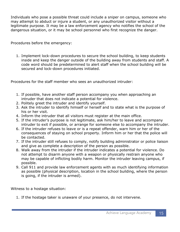Individuals who pose a possible threat could include a sniper on campus, someone who may attempt to abduct or injure a student, or any unauthorized visitor without a legitimate purpose. It may be a law enforcement agency who notifies the school of the dangerous situation, or it may be school personnel who first recognize the danger.

Procedures before the emergency:

1. Implement lock-down procedures to secure the school building, to keep students inside and keep the danger outside of the building away from students and staff. A code word should be predetermined to alert staff when the school building will be secured and lock-down procedures initiated.

Procedures for the staff member who sees an unauthorized intruder:

- 1. If possible, have another staff person accompany you when approaching an intruder that does not indicate a potential for violence.
- 2. Politely greet the intruder and identify yourself.
- 3. Ask the intruder to identify himself or herself and to state what is the purpose of his or her visit.
- 4. Inform the intruder that all visitors must register at the main office.
- 5. If the intruder's purpose is not legitimate, ask him/her to leave and accompany intruder to exit if possible, or arrange for someone else to accompany the intruder.
- 6. If the intruder refuses to leave or is a repeat offender, warn him or her of the consequences of staying on school property. Inform him or her that the police will be contacted.
- 7. If the intruder still refuses to comply, notify building administrator or police liaison and give as complete a description of the person as possible.
- 8. Walk away from the intruder if the intruder indicates a potential for violence. Do not attempt to disarm anyone with a weapon or physically restrain anyone who may be capable of inflicting bodily harm. Monitor the intruder leaving campus, if possible.
- 9. Call 911 and provide law enforcement agents with as much identifying information as possible (physical description, location in the school building, where the person is going, if the intruder is armed).

Witness to a hostage situation:

1. If the hostage taker is unaware of your presence, do not intervene.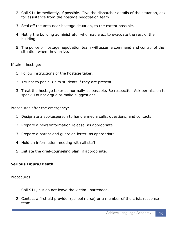- 2. Call 911 immediately, if possible. Give the dispatcher details of the situation, ask for assistance from the hostage negotiation team.
- 3. Seal off the area near hostage situation, to the extent possible.
- 4. Notify the building administrator who may elect to evacuate the rest of the building.
- 5. The police or hostage negotiation team will assume command and control of the situation when they arrive.

If taken hostage:

- 1. Follow instructions of the hostage taker.
- 2. Try not to panic. Calm students if they are present.
- 3. Treat the hostage taker as normally as possible. Be respectful. Ask permission to speak. Do not argue or make suggestions.

Procedures after the emergency:

- 1. Designate a spokesperson to handle media calls, questions, and contacts.
- 2. Prepare a news/information release, as appropriate.
- 3. Prepare a parent and guardian letter, as appropriate.
- 4. Hold an information meeting with all staff.
- 5. Initiate the grief-counseling plan, if appropriate.

# **Serious Injury/Death**

Procedures:

- 1. Call 911, but do not leave the victim unattended.
- 2. Contact a first aid provider (school nurse) or a member of the crisis response team.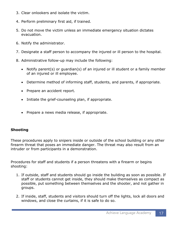- 3. Clear onlookers and isolate the victim.
- 4. Perform preliminary first aid, if trained.
- 5. Do not move the victim unless an immediate emergency situation dictates evacuation.
- 6. Notify the administrator.
- 7. Designate a staff person to accompany the injured or ill person to the hospital.
- 8. Administrative follow-up may include the following:
	- Notify parent(s) or guardian(s) of an injured or ill student or a family member of an injured or ill employee.
	- Determine method of informing staff, students, and parents, if appropriate.
	- Prepare an accident report.
	- Initiate the grief-counseling plan, if appropriate.
	- Prepare a news media release, if appropriate.

# **Shooting**

These procedures apply to snipers inside or outside of the school building or any other firearm threat that poses an immediate danger. The threat may also result from an intruder or from participants in a demonstration.

Procedures for staff and students if a person threatens with a firearm or begins shooting:

- 1. If outside, staff and students should go inside the building as soon as possible. If staff or students cannot get inside, they should make themselves as compact as possible, put something between themselves and the shooter, and not gather in groups.
- 2. If inside, staff, students and visitors should turn off the lights, lock all doors and windows, and close the curtains, if it is safe to do so.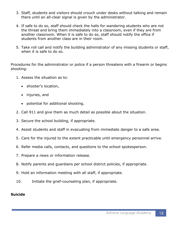- 3. Staff, students and visitors should crouch under desks without talking and remain there until an all-clear signal is given by the administrator.
- 4. If safe to do so, staff should check the halls for wandering students who are not the threat and bring them immediately into a classroom, even if they are from another classroom. When it is safe to do so, staff should notify the office if students from another class are in their room.
- 5. Take roll call and notify the building administrator of any missing students or staff, when it is safe to do so.

Procedures for the administrator or police if a person threatens with a firearm or begins shooting:

- 1. Assess the situation as to:
	- shooter's location,
	- injuries, and
	- potential for additional shooting.
- 2. Call 911 and give them as much detail as possible about the situation.
- 3. Secure the school building, if appropriate.
- 4. Assist students and staff in evacuating from immediate danger to a safe area.
- 5. Care for the injured to the extent practicable until emergency personnel arrive.
- 6. Refer media calls, contacts, and questions to the school spokesperson.
- 7. Prepare a news or information release.
- 8. Notify parents and guardians per school district policies, if appropriate.
- 9. Hold an information meeting with all staff, if appropriate.
- 10. Initiate the grief-counseling plan, if appropriate.

### **Suicide**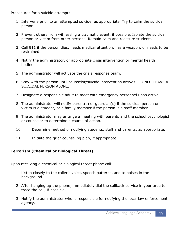Procedures for a suicide attempt:

- 1. Intervene prior to an attempted suicide, as appropriate. Try to calm the suicidal person.
- 2. Prevent others from witnessing a traumatic event, if possible. Isolate the suicidal person or victim from other persons. Remain calm and reassure students.
- 3. Call 911 if the person dies, needs medical attention, has a weapon, or needs to be restrained.
- 4. Notify the administrator, or appropriate crisis intervention or mental health hotline.
- 5. The administrator will activate the crisis response team.
- 6. Stay with the person until counselor/suicide intervention arrives. DO NOT LEAVE A SUICIDAL PERSON ALONE.
- 7. Designate a responsible adult to meet with emergency personnel upon arrival.
- 8. The administrator will notify parent(s) or guardian(s) if the suicidal person or victim is a student, or a family member if the person is a staff member.
- 9. The administrator may arrange a meeting with parents and the school psychologist or counselor to determine a course of action.
- 10. Determine method of notifying students, staff and parents, as appropriate.
- 11. Initiate the grief-counseling plan, if appropriate.

# **Terrorism (Chemical or Biological Threat)**

Upon receiving a chemical or biological threat phone call:

- 1. Listen closely to the caller's voice, speech patterns, and to noises in the background.
- 2. After hanging up the phone, immediately dial the callback service in your area to trace the call, if possible.
- 3. Notify the administrator who is responsible for notifying the local law enforcement agency.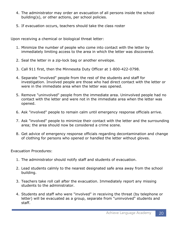- 4. The administrator may order an evacuation of all persons inside the school building(s), or other actions, per school policies.
- 5. If evacuation occurs, teachers should take the class roster

Upon receiving a chemical or biological threat letter:

- 1. Minimize the number of people who come into contact with the letter by immediately limiting access to the area in which the letter was discovered.
- 2. Seal the letter in a zip-lock bag or another envelope.
- 3. Call 911 first, then the Minnesota Duty Officer at 1-800-422-0798.
- 4. Separate "involved" people from the rest of the students and staff for investigation. Involved people are those who had direct contact with the letter or were in the immediate area when the letter was opened.
- 5. Remove "uninvolved" people from the immediate area. Uninvolved people had no contact with the letter and were not in the immediate area when the letter was opened.
- 6. Ask "involved" people to remain calm until emergency response officials arrive.
- 7. Ask "involved" people to minimize their contact with the letter and the surrounding area; the area should now be considered a crime scene.
- 8. Get advice of emergency response officials regarding decontamination and change of clothing for persons who opened or handled the letter without gloves.

Evacuation Procedures:

- 1. The administrator should notify staff and students of evacuation.
- 2. Lead students calmly to the nearest designated safe area away from the school building.
- 3. Teachers take roll call after the evacuation. Immediately report any missing students to the administrator.
- 4. Students and staff who were "involved" in receiving the threat (by telephone or letter) will be evacuated as a group, separate from "uninvolved" students and staff.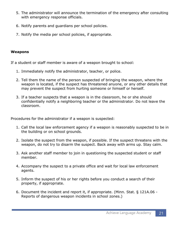- 5. The administrator will announce the termination of the emergency after consulting with emergency response officials.
- 6. Notify parents and guardians per school policies.
- 7. Notify the media per school policies, if appropriate.

### **Weapons**

If a student or staff member is aware of a weapon brought to school:

- 1. Immediately notify the administrator, teacher, or police.
- 2. Tell them the name of the person suspected of bringing the weapon, where the weapon is located, if the suspect has threatened anyone, or any other details that may prevent the suspect from hurting someone or himself or herself.
- 3. If a teacher suspects that a weapon is in the classroom, he or she should confidentially notify a neighboring teacher or the administrator. Do not leave the classroom.

Procedures for the administrator if a weapon is suspected:

- 1. Call the local law enforcement agency if a weapon is reasonably suspected to be in the building or on school grounds.
- 2. Isolate the suspect from the weapon, if possible. If the suspect threatens with the weapon, do not try to disarm the suspect. Back away with arms up. Stay calm.
- 3. Ask another staff member to join in questioning the suspected student or staff member.
- 4. Accompany the suspect to a private office and wait for local law enforcement agents.
- 5. Inform the suspect of his or her rights before you conduct a search of their property, if appropriate.
- 6. Document the incident and report it, if appropriate. (Minn. Stat. § 121A.06 Reports of dangerous weapon incidents in school zones.)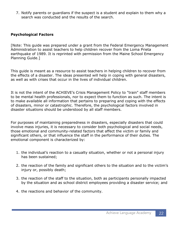7. Notify parents or guardians if the suspect is a student and explain to them why a search was conducted and the results of the search.

### **Psychological Factors**

[Note: This guide was prepared under a grant from the Federal Emergency Management Administration to assist teachers to help children recover from the Loma Prieta earthquake of 1989. It is reprinted with permission from the Maine School Emergency Planning Guide.]

This guide is meant as a resource to assist teachers in helping children to recover from the effects of a disaster. The ideas presented will help in coping with general disasters, as well as with crises that occur in the lives of individual children.

It is not the intent of the ACHIEVE's Crisis Management Policy to "train" staff members to be mental health professionals, nor to expect them to function as such. The intent is to make available all information that pertains to preparing and coping with the effects of disasters, minor or catastrophic. Therefore, the psychological factors involved in disaster situations should be understood by all staff members.

For purposes of maintaining preparedness in disasters, especially disasters that could involve mass injuries, it is necessary to consider both psychological and social needs, those emotional and community-related factors that affect the victim or family and significant others, or that influence the staff in the performance of their duties. The emotional component is characterized by:

- 1. the individual's reaction to a casualty situation, whether or not a personal injury has been sustained;
- 2. the reaction of the family and significant others to the situation and to the victim's injury or, possibly death;
- 3. the reaction of the staff to the situation, both as participants personally impacted by the situation and as school district employees providing a disaster service; and
- 4. the reactions and behavior of the community.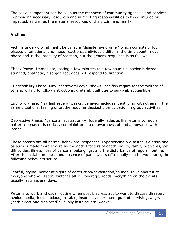The social component can be seen as the response of community agencies and services in providing necessary resources and in meeting responsibilities to those injured or impacted, as well as the material resources of the victim and family.

# **Victims**

Victims undergo what might be called a "disaster syndrome," which consists of four phases of emotional and mood reactions. Individuals differ in the time spent in each phase and in the intensity of reaction, but the general sequence is as follows:

Shock Phase: Immediate, lasting a few minutes to a few hours; behavior is dazed, stunned, apathetic, disorganized, does not respond to direction.

Suggestibility Phase: May last several days; shows unselfish regard for the welfare of others, willing to follow instructions, grateful, guilt due to survival, suggestible.

Euphoric Phase: May last several weeks; behavior includes identifying with others in the same situations, feeling of brotherhood, enthusiastic participation in group activities.

Depressive Phase: (personal frustration) – Hopefully fades as life returns to regular pattern; behavior is critical, complaint oriented, awareness of and annoyance with losses.

These phases are all normal behavioral responses. Experiencing a disaster is a crisis and as such is made more severe by the added factors of death, injury, family problems, job difficulties, illness, loss of personal belongings, and the disturbance of regular routine. After the initial numbness and absence of panic wears off (usually one to two hours), the following behaviors set in:

Fearful, crying, horror at sights of destruction/devastation/sounds; talks about it to everyone who will listen; watches all TV coverage; reads everything on the events; usually lasts several days.

Returns to work and usual routine when possible; less apt to want to discuss disaster; avoids media; feels anxious, irritable, insomnia, depressed, guilt of surviving, angry (both direct and displaced); usually lasts several weeks.